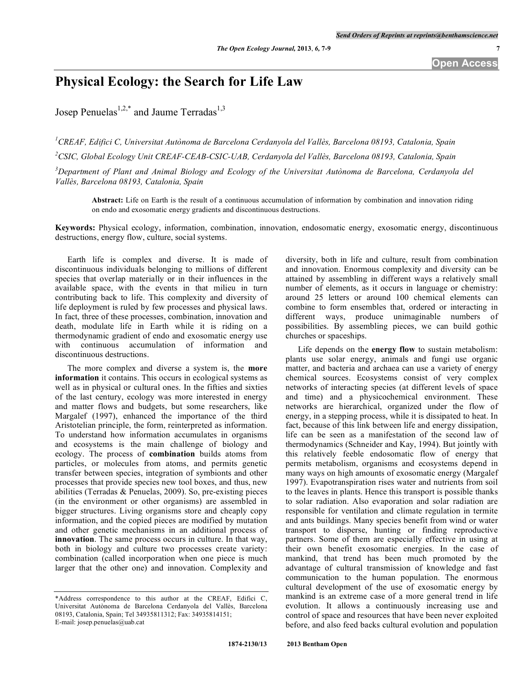## **Physical Ecology: the Search for Life Law**

Josep Penuelas<sup>1,2,\*</sup> and Jaume Terradas<sup>1,3</sup>

*1 CREAF, Edifici C, Universitat Autònoma de Barcelona Cerdanyola del Vallès, Barcelona 08193, Catalonia, Spain 2 CSIC, Global Ecology Unit CREAF-CEAB-CSIC-UAB, Cerdanyola del Vallès, Barcelona 08193, Catalonia, Spain*

 $3$ Department of Plant and Animal Biology and Ecology of the Universitat Autònoma de Barcelona, Cerdanyola del *Vallès, Barcelona 08193, Catalonia, Spain*

**Abstract:** Life on Earth is the result of a continuous accumulation of information by combination and innovation riding on endo and exosomatic energy gradients and discontinuous destructions.

**Keywords:** Physical ecology, information, combination, innovation, endosomatic energy, exosomatic energy, discontinuous destructions, energy flow, culture, social systems.

Earth life is complex and diverse. It is made of discontinuous individuals belonging to millions of different species that overlap materially or in their influences in the available space, with the events in that milieu in turn contributing back to life. This complexity and diversity of life deployment is ruled by few processes and physical laws. In fact, three of these processes, combination, innovation and death, modulate life in Earth while it is riding on a thermodynamic gradient of endo and exosomatic energy use with continuous accumulation of information and discontinuous destructions.

The more complex and diverse a system is, the **more information** it contains. This occurs in ecological systems as well as in physical or cultural ones. In the fifties and sixties of the last century, ecology was more interested in energy and matter flows and budgets, but some researchers, like Margalef (1997), enhanced the importance of the third Aristotelian principle, the form, reinterpreted as information. To understand how information accumulates in organisms and ecosystems is the main challenge of biology and ecology. The process of **combination** builds atoms from particles, or molecules from atoms, and permits genetic transfer between species, integration of symbionts and other processes that provide species new tool boxes, and thus, new abilities (Terradas & Penuelas, 2009). So, pre-existing pieces (in the environment or other organisms) are assembled in bigger structures. Living organisms store and cheaply copy information, and the copied pieces are modified by mutation and other genetic mechanisms in an additional process of **innovation**. The same process occurs in culture. In that way, both in biology and culture two processes create variety: combination (called incorporation when one piece is much larger that the other one) and innovation. Complexity and

diversity, both in life and culture, result from combination and innovation. Enormous complexity and diversity can be attained by assembling in different ways a relatively small number of elements, as it occurs in language or chemistry: around 25 letters or around 100 chemical elements can combine to form ensembles that, ordered or interacting in different ways, produce unimaginable numbers of possibilities. By assembling pieces, we can build gothic churches or spaceships.

Life depends on the **energy flow** to sustain metabolism: plants use solar energy, animals and fungi use organic matter, and bacteria and archaea can use a variety of energy chemical sources. Ecosystems consist of very complex networks of interacting species (at different levels of space and time) and a physicochemical environment. These networks are hierarchical, organized under the flow of energy, in a stepping process, while it is dissipated to heat. In fact, because of this link between life and energy dissipation, life can be seen as a manifestation of the second law of thermodynamics (Schneider and Kay, 1994). But jointly with this relatively feeble endosomatic flow of energy that permits metabolism, organisms and ecosystems depend in many ways on high amounts of exosomatic energy (Margalef 1997). Evapotranspiration rises water and nutrients from soil to the leaves in plants. Hence this transport is possible thanks to solar radiation. Also evaporation and solar radiation are responsible for ventilation and climate regulation in termite and ants buildings. Many species benefit from wind or water transport to disperse, hunting or finding reproductive partners. Some of them are especially effective in using at their own benefit exosomatic energies. In the case of mankind, that trend has been much promoted by the advantage of cultural transmission of knowledge and fast communication to the human population. The enormous cultural development of the use of exosomatic energy by mankind is an extreme case of a more general trend in life evolution. It allows a continuously increasing use and control of space and resources that have been never exploited before, and also feed backs cultural evolution and population

<sup>\*</sup>Address correspondence to this author at the CREAF, Edifici C, Universitat Autònoma de Barcelona Cerdanyola del Vallès, Barcelona 08193, Catalonia, Spain; Tel 34935811312; Fax: 34935814151; E-mail: josep.penuelas@uab.cat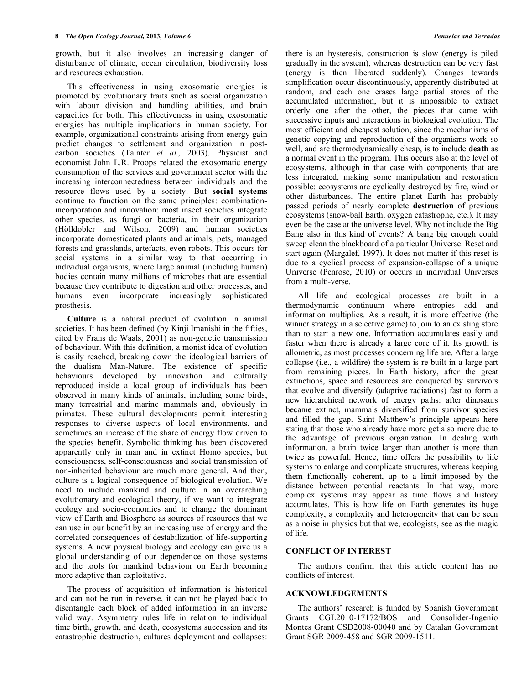growth, but it also involves an increasing danger of disturbance of climate, ocean circulation, biodiversity loss and resources exhaustion.

This effectiveness in using exosomatic energies is promoted by evolutionary traits such as social organization with labour division and handling abilities, and brain capacities for both. This effectiveness in using exosomatic energies has multiple implications in human society. For example, organizational constraints arising from energy gain predict changes to settlement and organization in postcarbon societies (Tainter *et al.,* 2003). Physicist and economist John L.R. Proops related the exosomatic energy consumption of the services and government sector with the increasing interconnectedness between individuals and the resource flows used by a society. But **social systems** continue to function on the same principles: combinationincorporation and innovation: most insect societies integrate other species, as fungi or bacteria, in their organization (Hölldobler and Wilson, 2009) and human societies incorporate domesticated plants and animals, pets, managed forests and grasslands, artefacts, even robots. This occurs for social systems in a similar way to that occurring in individual organisms, where large animal (including human) bodies contain many millions of microbes that are essential because they contribute to digestion and other processes, and humans even incorporate increasingly sophisticated prosthesis.

**Culture** is a natural product of evolution in animal societies. It has been defined (by Kinji Imanishi in the fifties, cited by Frans de Waals, 2001) as non-genetic transmission of behaviour. With this definition, a monist idea of evolution is easily reached, breaking down the ideological barriers of the dualism Man-Nature. The existence of specific behaviours developed by innovation and culturally reproduced inside a local group of individuals has been observed in many kinds of animals, including some birds, many terrestrial and marine mammals and, obviously in primates. These cultural developments permit interesting responses to diverse aspects of local environments, and sometimes an increase of the share of energy flow driven to the species benefit. Symbolic thinking has been discovered apparently only in man and in extinct Homo species, but consciousness, self-consciousness and social transmission of non-inherited behaviour are much more general. And then, culture is a logical consequence of biological evolution. We need to include mankind and culture in an overarching evolutionary and ecological theory, if we want to integrate ecology and socio-economics and to change the dominant view of Earth and Biosphere as sources of resources that we can use in our benefit by an increasing use of energy and the correlated consequences of destabilization of life-supporting systems. A new physical biology and ecology can give us a global understanding of our dependence on those systems and the tools for mankind behaviour on Earth becoming more adaptive than exploitative.

The process of acquisition of information is historical and can not be run in reverse, it can not be played back to disentangle each block of added information in an inverse valid way. Asymmetry rules life in relation to individual time birth, growth, and death, ecosystems succession and its catastrophic destruction, cultures deployment and collapses:

there is an hysteresis, construction is slow (energy is piled gradually in the system), whereas destruction can be very fast (energy is then liberated suddenly). Changes towards simplification occur discontinuously, apparently distributed at random, and each one erases large partial stores of the accumulated information, but it is impossible to extract orderly one after the other, the pieces that came with successive inputs and interactions in biological evolution. The most efficient and cheapest solution, since the mechanisms of genetic copying and reproduction of the organisms work so well, and are thermodynamically cheap, is to include **death** as a normal event in the program. This occurs also at the level of ecosystems, although in that case with components that are less integrated, making some manipulation and restoration possible: ecosystems are cyclically destroyed by fire, wind or other disturbances. The entire planet Earth has probably passed periods of nearly complete **destruction** of previous ecosystems (snow-ball Earth, oxygen catastrophe, etc.). It may even be the case at the universe level. Why not include the Big Bang also in this kind of events? A bang big enough could sweep clean the blackboard of a particular Universe. Reset and start again (Margalef, 1997). It does not matter if this reset is due to a cyclical process of expansion-collapse of a unique Universe (Penrose, 2010) or occurs in individual Universes from a multi-verse.

All life and ecological processes are built in a thermodynamic continuum where entropies add and information multiplies. As a result, it is more effective (the winner strategy in a selective game) to join to an existing store than to start a new one. Information accumulates easily and faster when there is already a large core of it. Its growth is allometric, as most processes concerning life are. After a large collapse (i.e., a wildfire) the system is re-built in a large part from remaining pieces. In Earth history, after the great extinctions, space and resources are conquered by survivors that evolve and diversify (adaptive radiations) fast to form a new hierarchical network of energy paths: after dinosaurs became extinct, mammals diversified from survivor species and filled the gap. Saint Matthew's principle appears here stating that those who already have more get also more due to the advantage of previous organization. In dealing with information, a brain twice larger than another is more than twice as powerful. Hence, time offers the possibility to life systems to enlarge and complicate structures, whereas keeping them functionally coherent, up to a limit imposed by the distance between potential reactants. In that way, more complex systems may appear as time flows and history accumulates. This is how life on Earth generates its huge complexity, a complexity and heterogeneity that can be seen as a noise in physics but that we, ecologists, see as the magic of life.

## **CONFLICT OF INTEREST**

The authors confirm that this article content has no conflicts of interest.

## **ACKNOWLEDGEMENTS**

The authors' research is funded by Spanish Government Grants CGL2010-17172/BOS and Consolider-Ingenio Montes Grant CSD2008-00040 and by Catalan Government Grant SGR 2009-458 and SGR 2009-1511.